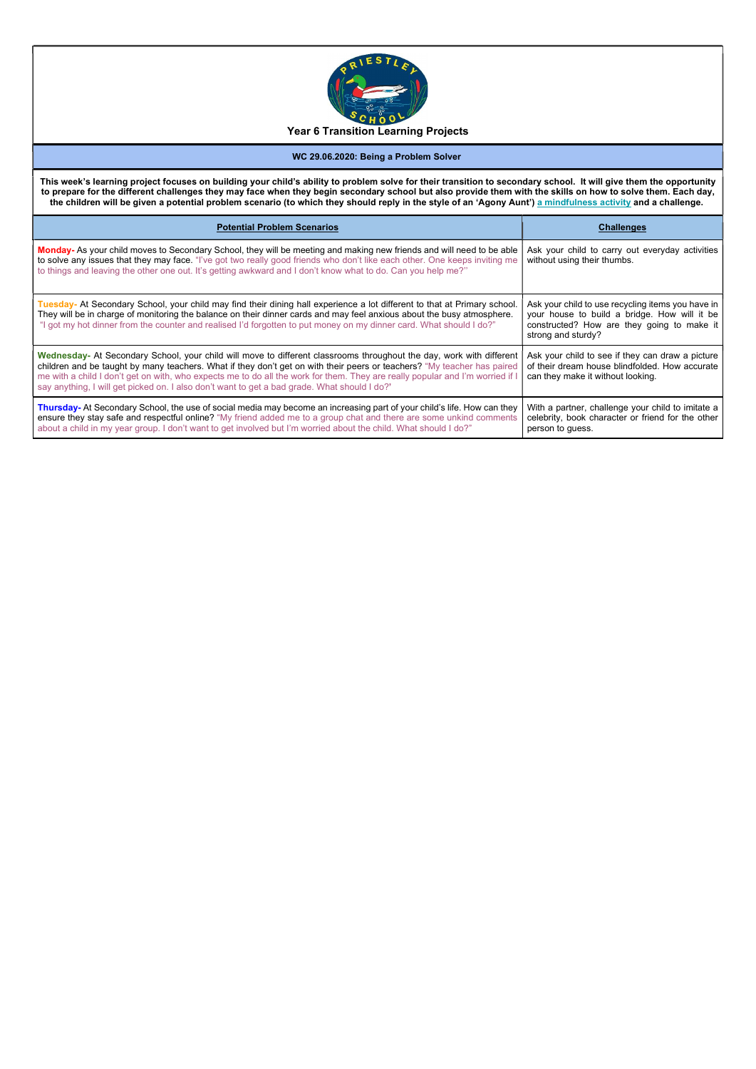

This week's learning project focuses on building your child's ability to problem solve for their transition to secondary school. It will give them the opportunity to prepare for the different challenges they may face when they begin secondary school but also provide them with the skills on how to solve them. Each day, the children will be given a potential problem scenario (to which they should reply in the style of an 'Agony Aunt') a mindfulness activity and a challenge.

## WC 29.06.2020: Being a Problem Solver

| <b>Potential Problem Scenarios</b>                                                                                                                                                                                                                                                                                                                                                                                                                                               | <b>Challenges</b>                                                                                                                                                     |  |
|----------------------------------------------------------------------------------------------------------------------------------------------------------------------------------------------------------------------------------------------------------------------------------------------------------------------------------------------------------------------------------------------------------------------------------------------------------------------------------|-----------------------------------------------------------------------------------------------------------------------------------------------------------------------|--|
| Monday- As your child moves to Secondary School, they will be meeting and making new friends and will need to be able<br>to solve any issues that they may face. "I've got two really good friends who don't like each other. One keeps inviting me<br>to things and leaving the other one out. It's getting awkward and I don't know what to do. Can you help me?"                                                                                                              | Ask your child to carry out everyday activities<br>without using their thumbs.                                                                                        |  |
| Tuesday- At Secondary School, your child may find their dining hall experience a lot different to that at Primary school.<br>They will be in charge of monitoring the balance on their dinner cards and may feel anxious about the busy atmosphere.<br>"I got my hot dinner from the counter and realised I'd forgotten to put money on my dinner card. What should I do?"                                                                                                       | Ask your child to use recycling items you have in<br>your house to build a bridge. How will it be<br>constructed? How are they going to make it<br>strong and sturdy? |  |
| Wednesday- At Secondary School, your child will move to different classrooms throughout the day, work with different<br>children and be taught by many teachers. What if they don't get on with their peers or teachers? "My teacher has paired<br>me with a child I don't get on with, who expects me to do all the work for them. They are really popular and I'm worried if I<br>say anything, I will get picked on. I also don't want to get a bad grade. What should I do?' | Ask your child to see if they can draw a picture<br>of their dream house blindfolded. How accurate<br>can they make it without looking.                               |  |
| Thursday- At Secondary School, the use of social media may become an increasing part of your child's life. How can they<br>ensure they stay safe and respectful online? "My friend added me to a group chat and there are some unkind comments<br>about a child in my year group. I don't want to get involved but I'm worried about the child. What should I do?"                                                                                                               | With a partner, challenge your child to imitate a<br>celebrity, book character or friend for the other<br>person to guess.                                            |  |